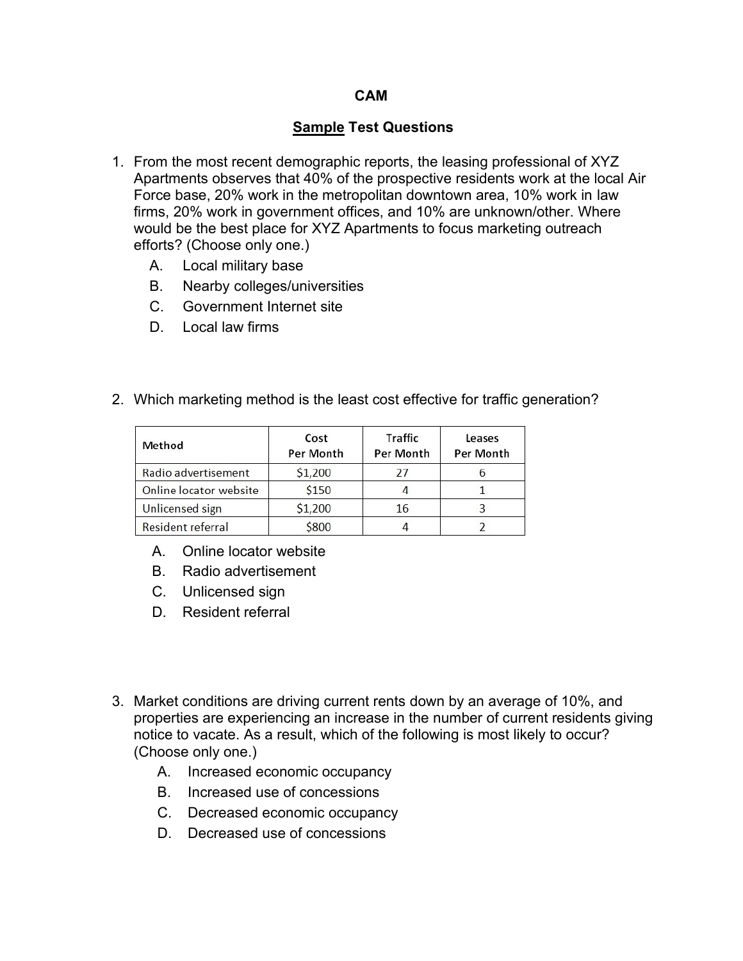## **CAM**

## **Sample Test Questions**

- 1. From the most recent demographic reports, the leasing professional of XYZ Apartments observes that 40% of the prospective residents work at the local Air Force base, 20% work in the metropolitan downtown area, 10% work in law firms, 20% work in government offices, and 10% are unknown/other. Where would be the best place for XYZ Apartments to focus marketing outreach efforts? (Choose only one.)
	- A. Local military base
	- B. Nearby colleges/universities
	- C. Government Internet site
	- D. Local law firms
- 2. Which marketing method is the least cost effective for traffic generation?

| Method                 | Cost<br>Per Month | <b>Traffic</b><br>Per Month | Leases<br>Per Month |  |
|------------------------|-------------------|-----------------------------|---------------------|--|
| Radio advertisement    | \$1,200           | 21                          |                     |  |
| Online locator website | \$150             |                             |                     |  |
| <b>Unlicensed sign</b> | \$1,200           | 16                          |                     |  |
| Resident referral      | \$800             |                             |                     |  |

- A. Online locator website
- B. Radio advertisement
- C. Unlicensed sign
- D. Resident referral
- 3. Market conditions are driving current rents down by an average of 10%, and properties are experiencing an increase in the number of current residents giving notice to vacate. As a result, which of the following is most likely to occur? (Choose only one.)
	- A. Increased economic occupancy
	- B. Increased use of concessions
	- C. Decreased economic occupancy
	- D. Decreased use of concessions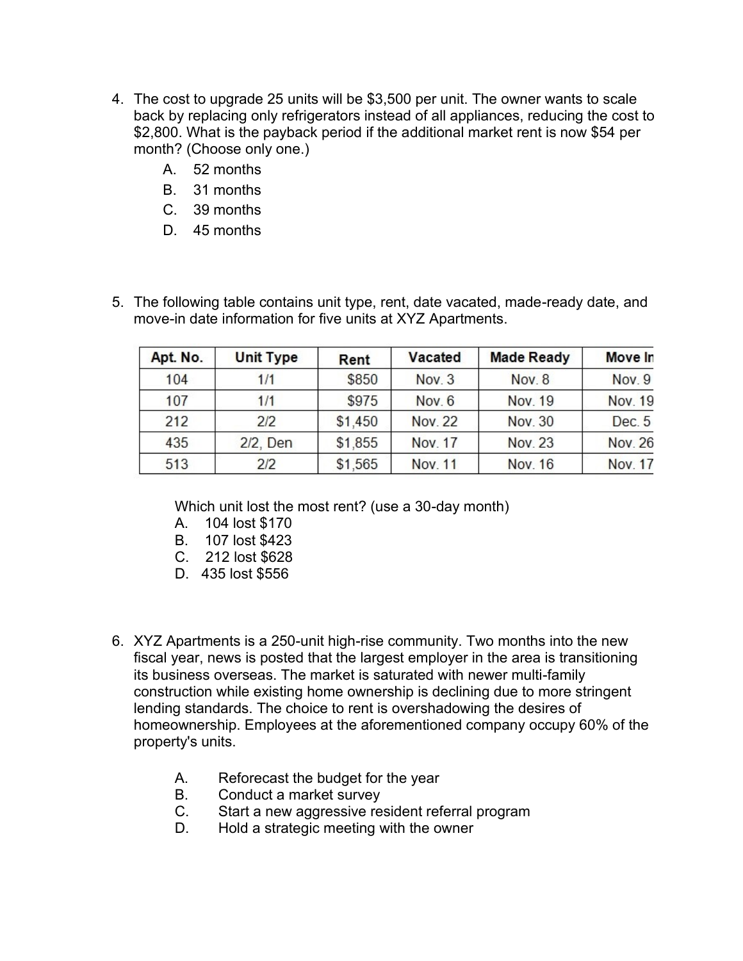- 4. The cost to upgrade 25 units will be \$3,500 per unit. The owner wants to scale back by replacing only refrigerators instead of all appliances, reducing the cost to \$2,800. What is the payback period if the additional market rent is now \$54 per month? (Choose only one.)
	- A. 52 months
	- B. 31 months
	- C. 39 months
	- D. 45 months
- 5. The following table contains unit type, rent, date vacated, made-ready date, and move-in date information for five units at XYZ Apartments.

| Apt. No. | <b>Unit Type</b> | Rent    | Vacated        | <b>Made Ready</b> | Move In        |
|----------|------------------|---------|----------------|-------------------|----------------|
|          |                  |         |                |                   |                |
| 104      | 1/1              | \$850   | Nov. 3         | <b>Nov. 8</b>     | Nov. 9         |
| 107      | 1/1              | \$975   | Nov. 6         | Nov. 19           | Nov. 19        |
| 212      | 2/2              | \$1,450 | <b>Nov. 22</b> | Nov. 30           | Dec. 5         |
| 435      | 2/2, Den         | \$1,855 | Nov. 17        | Nov. 23           | <b>Nov. 26</b> |
| 513      | 2/2              | \$1,565 | Nov. 11        | <b>Nov. 16</b>    | Nov. 17        |

Which unit lost the most rent? (use a 30-day month)

- A. 104 lost \$170
- B. 107 lost \$423
- C. 212 lost \$628
- D. 435 lost \$556
- 6. XYZ Apartments is a 250-unit high-rise community. Two months into the new fiscal year, news is posted that the largest employer in the area is transitioning its business overseas. The market is saturated with newer multi-family construction while existing home ownership is declining due to more stringent lending standards. The choice to rent is overshadowing the desires of homeownership. Employees at the aforementioned company occupy 60% of the property's units.
	- A. Reforecast the budget for the year
	- B. Conduct a market survey
	- C. Start a new aggressive resident referral program
	- D. Hold a strategic meeting with the owner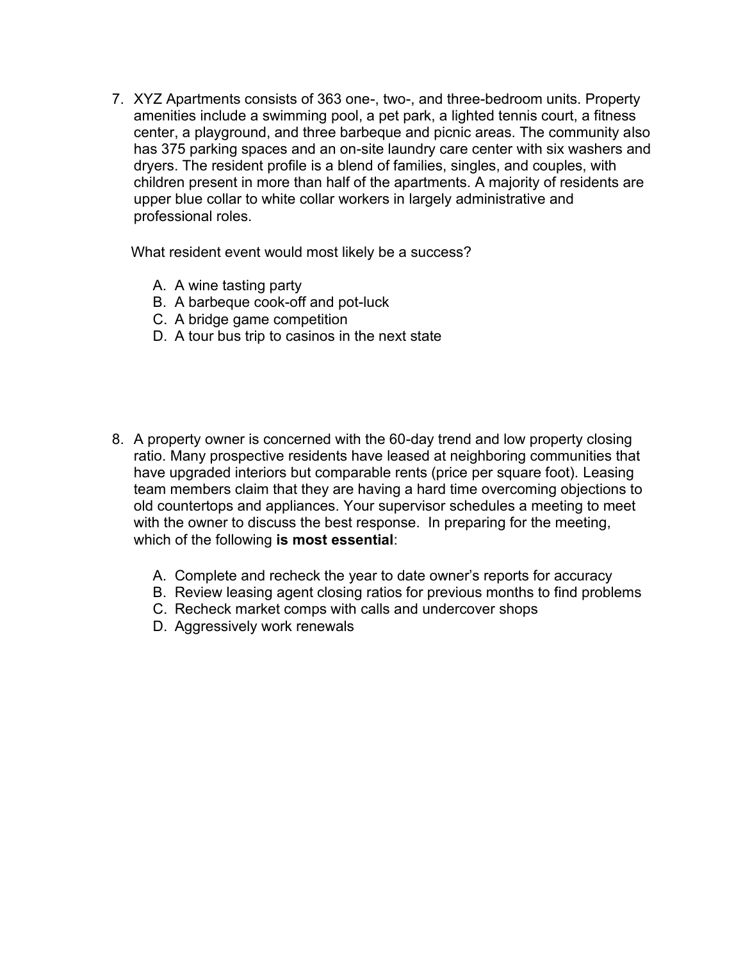7. XYZ Apartments consists of 363 one-, two-, and three-bedroom units. Property amenities include a swimming pool, a pet park, a lighted tennis court, a fitness center, a playground, and three barbeque and picnic areas. The community also has 375 parking spaces and an on-site laundry care center with six washers and dryers. The resident profile is a blend of families, singles, and couples, with children present in more than half of the apartments. A majority of residents are upper blue collar to white collar workers in largely administrative and professional roles.

What resident event would most likely be a success?

- A. A wine tasting party
- B. A barbeque cook-off and pot-luck
- C. A bridge game competition
- D. A tour bus trip to casinos in the next state
- 8. A property owner is concerned with the 60-day trend and low property closing ratio. Many prospective residents have leased at neighboring communities that have upgraded interiors but comparable rents (price per square foot). Leasing team members claim that they are having a hard time overcoming objections to old countertops and appliances. Your supervisor schedules a meeting to meet with the owner to discuss the best response. In preparing for the meeting, which of the following **is most essential**:
	- A. Complete and recheck the year to date owner's reports for accuracy
	- B. Review leasing agent closing ratios for previous months to find problems
	- C. Recheck market comps with calls and undercover shops
	- D. Aggressively work renewals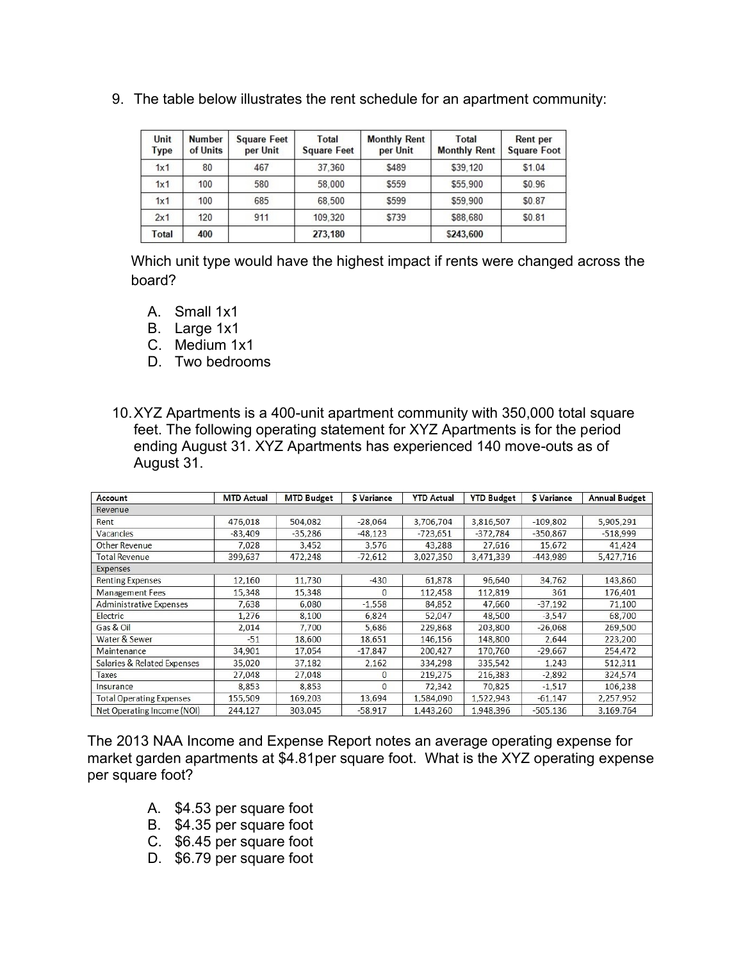| Unit<br><b>Type</b> | <b>Number</b><br>of Units | <b>Square Feet</b><br>per Unit | Total<br><b>Square Feet</b> | <b>Monthly Rent</b><br>per Unit | Total<br><b>Monthly Rent</b> | <b>Rent per</b><br><b>Square Foot</b> |
|---------------------|---------------------------|--------------------------------|-----------------------------|---------------------------------|------------------------------|---------------------------------------|
| 1x1                 | 80                        | 467                            | 37.360                      | \$489                           | \$39,120                     | \$1.04                                |
| 1x1                 | 100                       | 580                            | 58,000                      | \$559                           | \$55,900                     | \$0.96                                |
| 1x1                 | 100                       | 685                            | 68.500                      | \$599                           | \$59,900                     | \$0.87                                |
| 2x1                 | 120                       | 911                            | 109.320                     | \$739                           | \$88,680                     | \$0.81                                |
| Total               | 400                       |                                | 273,180                     |                                 | \$243.600                    |                                       |

9. The table below illustrates the rent schedule for an apartment community:

Which unit type would have the highest impact if rents were changed across the board?

- A. Small 1x1
- B. Large 1x1
- C. Medium 1x1
- D. Two bedrooms
- 10.XYZ Apartments is a 400-unit apartment community with 350,000 total square feet. The following operating statement for XYZ Apartments is for the period ending August 31. XYZ Apartments has experienced 140 move-outs as of August 31.

| Account                         | <b>MTD Actual</b> | <b>MTD Budget</b> | \$ Variance | <b>YTD Actual</b> | <b>YTD Budget</b> | \$ Variance | <b>Annual Budget</b> |  |
|---------------------------------|-------------------|-------------------|-------------|-------------------|-------------------|-------------|----------------------|--|
| Revenue                         |                   |                   |             |                   |                   |             |                      |  |
| Rent                            | 476,018           | 504,082           | $-28,064$   | 3,706,704         | 3,816,507         | $-109,802$  | 5,905,291            |  |
| Vacancies                       | $-83,409$         | $-35,286$         | $-48,123$   | $-723,651$        | $-372,784$        | $-350,867$  | $-518,999$           |  |
| Other Revenue                   | 7,028             | 3,452             | 3,576       | 43,288            | 27,616            | 15,672      | 41,424               |  |
| <b>Total Revenue</b>            | 399,637           | 472,248           | $-72,612$   | 3,027,350         | 3,471,339         | $-443,989$  | 5,427,716            |  |
| Expenses                        |                   |                   |             |                   |                   |             |                      |  |
| <b>Renting Expenses</b>         | 12,160            | 11,730            | $-430$      | 61,878            | 96,640            | 34,762      | 143,860              |  |
| <b>Management Fees</b>          | 15,348            | 15,348            | 0           | 112,458           | 112,819           | 361         | 176,401              |  |
| <b>Administrative Expenses</b>  | 7,638             | 6,080             | $-1,558$    | 84,852            | 47,660            | $-37,192$   | 71,100               |  |
| Electric                        | 1,276             | 8,100             | 6,824       | 52,047            | 48,500            | $-3,547$    | 68,700               |  |
| Gas & Oil                       | 2,014             | 7.700             | 5,686       | 229,868           | 203,800           | $-26,068$   | 269,500              |  |
| Water & Sewer                   | $-51$             | 18,600            | 18,651      | 146,156           | 148,800           | 2,644       | 223,200              |  |
| Maintenance                     | 34,901            | 17,054            | $-17,847$   | 200,427           | 170,760           | $-29,667$   | 254,472              |  |
| Salaries & Related Expenses     | 35,020            | 37,182            | 2,162       | 334,298           | 335,542           | 1,243       | 512,311              |  |
| Taxes                           | 27,048            | 27,048            | $\bf{0}$    | 219,275           | 216,383           | $-2,892$    | 324,574              |  |
| Insurance                       | 8,853             | 8,853             | $\Omega$    | 72,342            | 70,825            | $-1,517$    | 106,238              |  |
| <b>Total Operating Expenses</b> | 155,509           | 169,203           | 13,694      | 1,584,090         | 1,522,943         | $-61,147$   | 2,257,952            |  |
| Net Operating Income (NOI)      | 244,127           | 303,045           | $-58,917$   | 1,443,260         | 1,948,396         | $-505,136$  | 3,169,764            |  |

The 2013 NAA Income and Expense Report notes an average operating expense for market garden apartments at \$4.81per square foot. What is the XYZ operating expense per square foot?

- A. \$4.53 per square foot
- B. \$4.35 per square foot
- C. \$6.45 per square foot
- D. \$6.79 per square foot